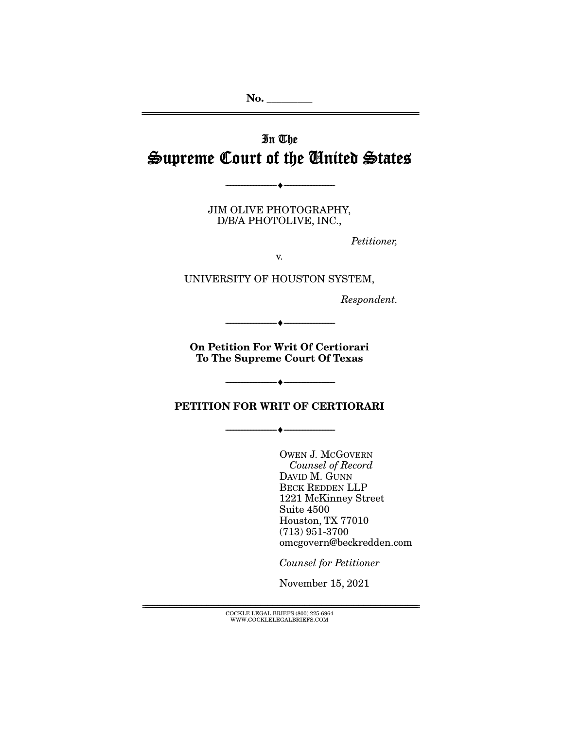**No. \_\_\_\_\_\_\_\_\_**  ================================================================================================================

# In The Supreme Court of the United States

JIM OLIVE PHOTOGRAPHY, D/B/A PHOTOLIVE, INC.,

--------------------------------- ♦ ---------------------------------

Petitioner,

v.

UNIVERSITY OF HOUSTON SYSTEM,

Respondent.

**On Petition For Writ Of Certiorari To The Supreme Court Of Texas** 

--------------------------------- ♦ ---------------------------------

 $\overline{\phantom{a}}$   $\overline{\phantom{a}}$   $\overline{\phantom{a}}$   $\overline{\phantom{a}}$   $\overline{\phantom{a}}$   $\overline{\phantom{a}}$   $\overline{\phantom{a}}$   $\overline{\phantom{a}}$   $\overline{\phantom{a}}$   $\overline{\phantom{a}}$   $\overline{\phantom{a}}$   $\overline{\phantom{a}}$   $\overline{\phantom{a}}$   $\overline{\phantom{a}}$   $\overline{\phantom{a}}$   $\overline{\phantom{a}}$   $\overline{\phantom{a}}$   $\overline{\phantom{a}}$   $\overline{\$ 

**PETITION FOR WRIT OF CERTIORARI** 

--------------------------------- ♦ ---------------------------------

OWEN J. MCGOVERN Counsel of Record DAVID M. GUNN BECK REDDEN LLP 1221 McKinney Street Suite 4500 Houston, TX 77010 (713) 951-3700 omcgovern@beckredden.com

Counsel for Petitioner

November 15, 2021

 ${COCKLE}$  LEGAL BRIEFS (800) 225-6964 WWW.COCKLELEGALBRIEFS.COM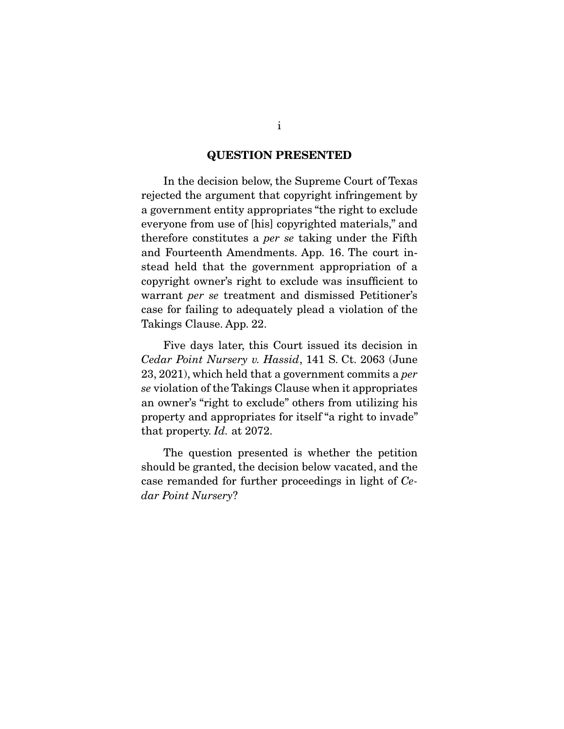#### **QUESTION PRESENTED**

 In the decision below, the Supreme Court of Texas rejected the argument that copyright infringement by a government entity appropriates "the right to exclude everyone from use of [his] copyrighted materials," and therefore constitutes a per se taking under the Fifth and Fourteenth Amendments. App. 16. The court instead held that the government appropriation of a copyright owner's right to exclude was insufficient to warrant per se treatment and dismissed Petitioner's case for failing to adequately plead a violation of the Takings Clause. App. 22.

 Five days later, this Court issued its decision in Cedar Point Nursery v. Hassid, 141 S. Ct. 2063 (June 23, 2021), which held that a government commits a per se violation of the Takings Clause when it appropriates an owner's "right to exclude" others from utilizing his property and appropriates for itself "a right to invade" that property. Id. at 2072.

 The question presented is whether the petition should be granted, the decision below vacated, and the case remanded for further proceedings in light of Cedar Point Nursery?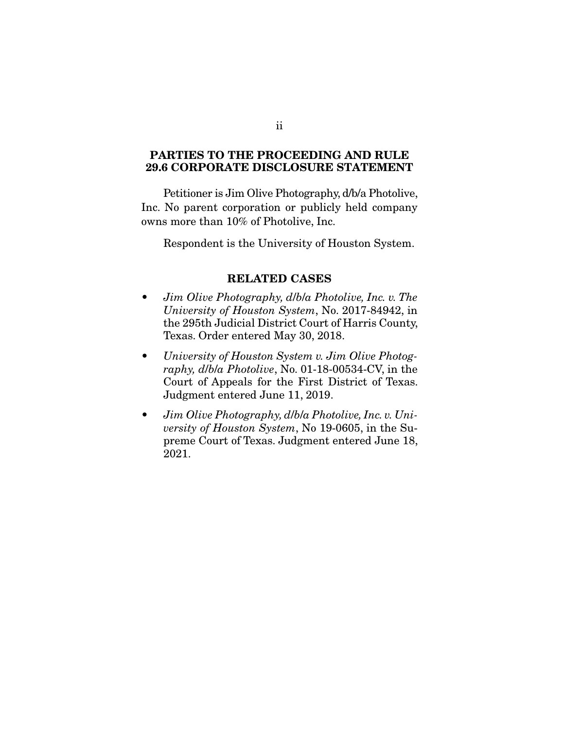### **PARTIES TO THE PROCEEDING AND RULE 29.6 CORPORATE DISCLOSURE STATEMENT**

 Petitioner is Jim Olive Photography, d/b/a Photolive, Inc. No parent corporation or publicly held company owns more than 10% of Photolive, Inc.

Respondent is the University of Houston System.

#### **RELATED CASES**

- Jim Olive Photography, d/b/a Photolive, Inc. v. The University of Houston System, No. 2017-84942, in the 295th Judicial District Court of Harris County, Texas. Order entered May 30, 2018.
- University of Houston System v. Jim Olive Photography, d/b/a Photolive, No. 01-18-00534-CV, in the Court of Appeals for the First District of Texas. Judgment entered June 11, 2019.
- Jim Olive Photography, d/b/a Photolive, Inc. v. University of Houston System, No 19-0605, in the Supreme Court of Texas. Judgment entered June 18, 2021.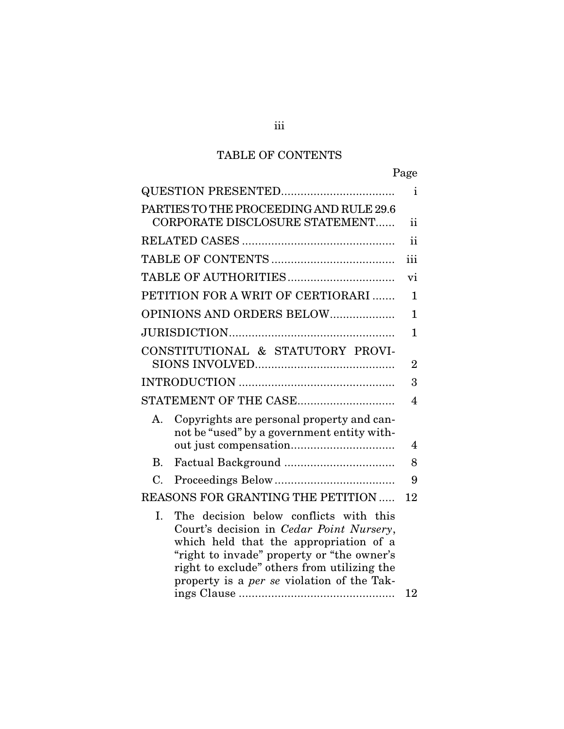## TABLE OF CONTENTS

Page

| PARTIES TO THE PROCEEDING AND RULE 29.6<br>CORPORATE DISCLOSURE STATEMENT<br>PETITION FOR A WRIT OF CERTIORARI<br>OPINIONS AND ORDERS BELOW                                                                                                                                          |                |
|--------------------------------------------------------------------------------------------------------------------------------------------------------------------------------------------------------------------------------------------------------------------------------------|----------------|
|                                                                                                                                                                                                                                                                                      | $\mathbf{i}$   |
|                                                                                                                                                                                                                                                                                      | ii             |
|                                                                                                                                                                                                                                                                                      | $\mathbf{ii}$  |
|                                                                                                                                                                                                                                                                                      | iii            |
|                                                                                                                                                                                                                                                                                      | vi             |
|                                                                                                                                                                                                                                                                                      | $\mathbf{1}$   |
|                                                                                                                                                                                                                                                                                      | 1              |
|                                                                                                                                                                                                                                                                                      | $\mathbf{1}$   |
| CONSTITUTIONAL & STATUTORY PROVI-                                                                                                                                                                                                                                                    | $\overline{2}$ |
|                                                                                                                                                                                                                                                                                      | 3              |
| STATEMENT OF THE CASE                                                                                                                                                                                                                                                                | $\overline{4}$ |
| Copyrights are personal property and can-<br>Α.<br>not be "used" by a government entity with-                                                                                                                                                                                        | 4              |
| <b>B.</b>                                                                                                                                                                                                                                                                            | 8              |
| C.                                                                                                                                                                                                                                                                                   | 9              |
| REASONS FOR GRANTING THE PETITION                                                                                                                                                                                                                                                    | 12             |
| I.<br>The decision below conflicts with this<br>Court's decision in Cedar Point Nursery,<br>which held that the appropriation of a<br>"right to invade" property or "the owner's<br>right to exclude" others from utilizing the<br>property is a <i>per se</i> violation of the Tak- | 12             |

iii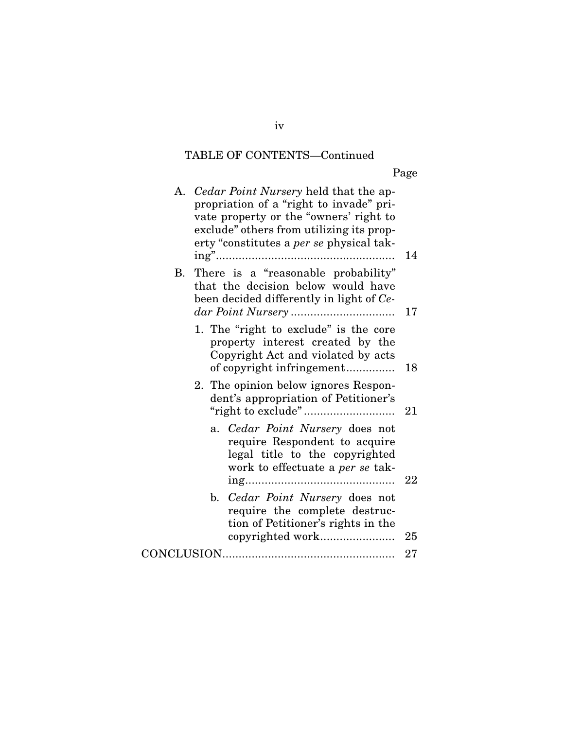## TABLE OF CONTENTS—Continued

Page

| A. Cedar Point Nursery held that the ap-<br>propriation of a "right to invade" pri-<br>vate property or the "owners' right to<br>exclude" others from utilizing its prop-<br>erty "constitutes a <i>per se</i> physical tak- | 14 |
|------------------------------------------------------------------------------------------------------------------------------------------------------------------------------------------------------------------------------|----|
| B. There is a "reasonable probability"<br>that the decision below would have<br>been decided differently in light of Ce-                                                                                                     | 17 |
| 1. The "right to exclude" is the core<br>property interest created by the<br>Copyright Act and violated by acts<br>of copyright infringement                                                                                 | 18 |
| 2. The opinion below ignores Respon-<br>dent's appropriation of Petitioner's                                                                                                                                                 | 21 |
| Cedar Point Nursery does not<br>a.<br>require Respondent to acquire<br>legal title to the copyrighted<br>work to effectuate a per se tak-                                                                                    | 22 |
| b. Cedar Point Nursery does not<br>require the complete destruc-<br>tion of Petitioner's rights in the                                                                                                                       | 25 |
|                                                                                                                                                                                                                              | 27 |
|                                                                                                                                                                                                                              |    |

iv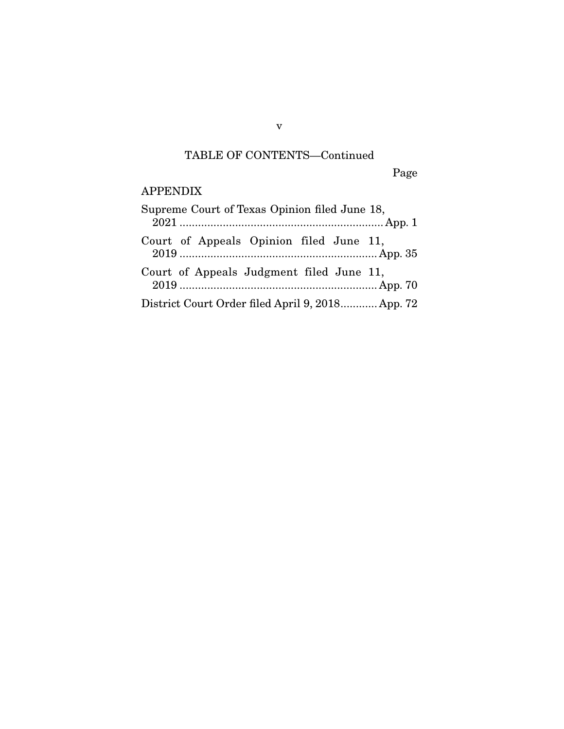## TABLE OF CONTENTS—Continued

Page

## APPENDIX

| Supreme Court of Texas Opinion filed June 18,    |
|--------------------------------------------------|
| Court of Appeals Opinion filed June 11,          |
| Court of Appeals Judgment filed June 11,         |
| District Court Order filed April 9, 2018 App. 72 |

v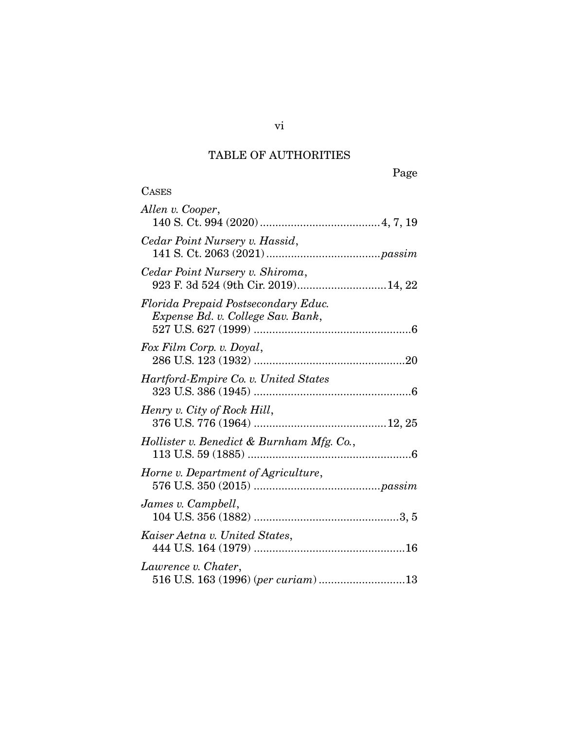# TABLE OF AUTHORITIES

**CASES** 

| Allen v. Cooper,                                                         |
|--------------------------------------------------------------------------|
| Cedar Point Nursery v. Hassid,                                           |
| Cedar Point Nursery v. Shiroma,<br>923 F. 3d 524 (9th Cir. 2019) 14, 22  |
| Florida Prepaid Postsecondary Educ.<br>Expense Bd. v. College Sav. Bank, |
| Fox Film Corp. v. Doyal,                                                 |
| Hartford-Empire Co. v. United States                                     |
| Henry v. City of Rock Hill,                                              |
| Hollister v. Benedict & Burnham Mfg. Co.,                                |
| Horne v. Department of Agriculture,                                      |
| James v. Campbell,                                                       |
| Kaiser Aetna v. United States,                                           |
| Lawrence v. Chater,<br>516 U.S. 163 (1996) (per curiam) 13               |

vi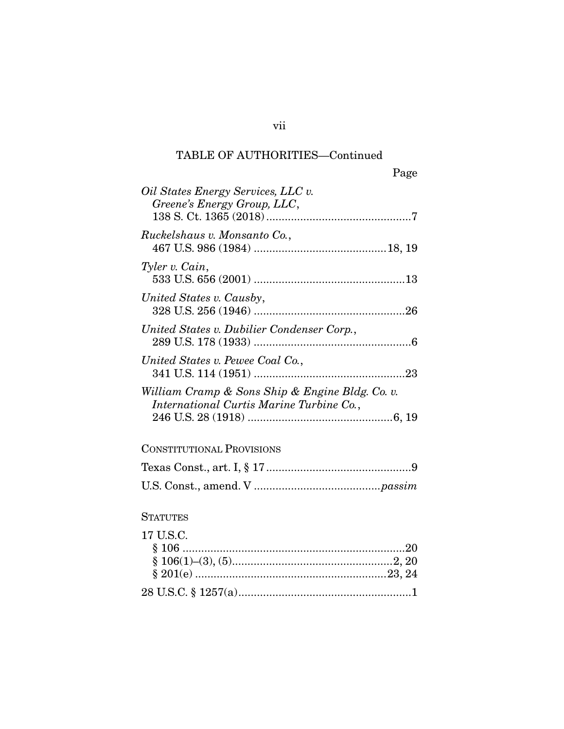## TABLE OF AUTHORITIES—Continued

| Oil States Energy Services, LLC v.<br>Greene's Energy Group, LLC,                           |
|---------------------------------------------------------------------------------------------|
| Ruckelshaus v. Monsanto Co.,                                                                |
| Tyler v. Cain,                                                                              |
| United States v. Causby,                                                                    |
| United States v. Dubilier Condenser Corp.,                                                  |
| United States v. Pewee Coal Co.,                                                            |
| William Cramp & Sons Ship & Engine Bldg. Co. v.<br>International Curtis Marine Turbine Co., |
| <b>CONSTITUTIONAL PROVISIONS</b>                                                            |
|                                                                                             |
|                                                                                             |
| <b>STATUTES</b>                                                                             |
| 17 U.S.C.                                                                                   |
|                                                                                             |

vii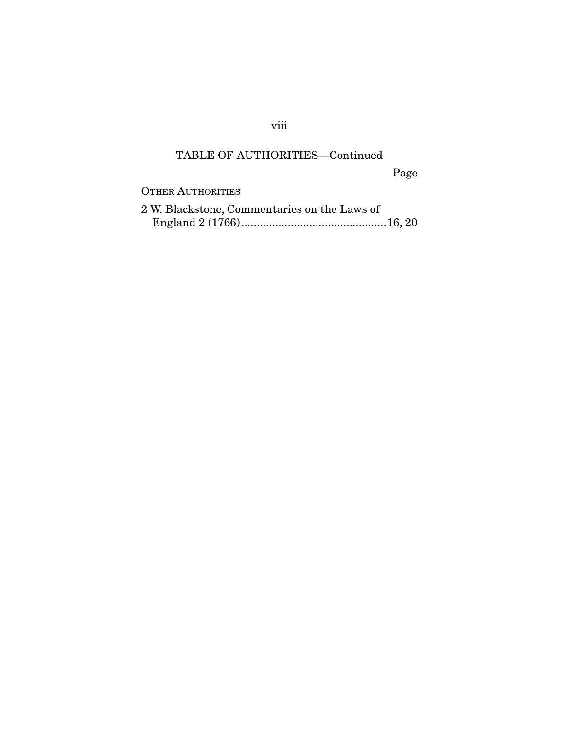## viii

## TABLE OF AUTHORITIES—Continued

Page

OTHER AUTHORITIES

| 2 W. Blackstone, Commentaries on the Laws of |  |
|----------------------------------------------|--|
|                                              |  |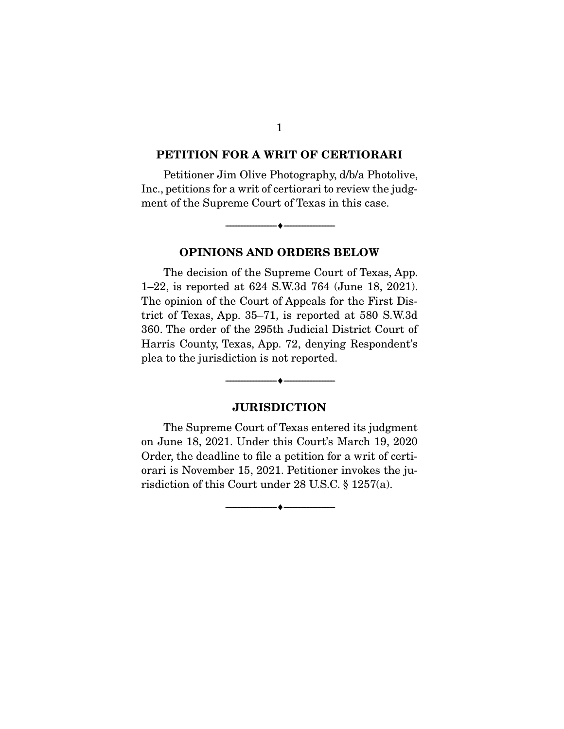#### **PETITION FOR A WRIT OF CERTIORARI**

 Petitioner Jim Olive Photography, d/b/a Photolive, Inc., petitions for a writ of certiorari to review the judgment of the Supreme Court of Texas in this case.

**OPINIONS AND ORDERS BELOW**

--------------------------------- ♦ ---------------------------------

 The decision of the Supreme Court of Texas, App. 1–22, is reported at 624 S.W.3d 764 (June 18, 2021). The opinion of the Court of Appeals for the First District of Texas, App. 35–71, is reported at 580 S.W.3d 360. The order of the 295th Judicial District Court of Harris County, Texas, App. 72, denying Respondent's plea to the jurisdiction is not reported.

#### **JURISDICTION**

--------------------------------- ♦ ---------------------------------

 The Supreme Court of Texas entered its judgment on June 18, 2021. Under this Court's March 19, 2020 Order, the deadline to file a petition for a writ of certiorari is November 15, 2021. Petitioner invokes the jurisdiction of this Court under 28 U.S.C. § 1257(a).

--------------------------------- ♦ ---------------------------------

1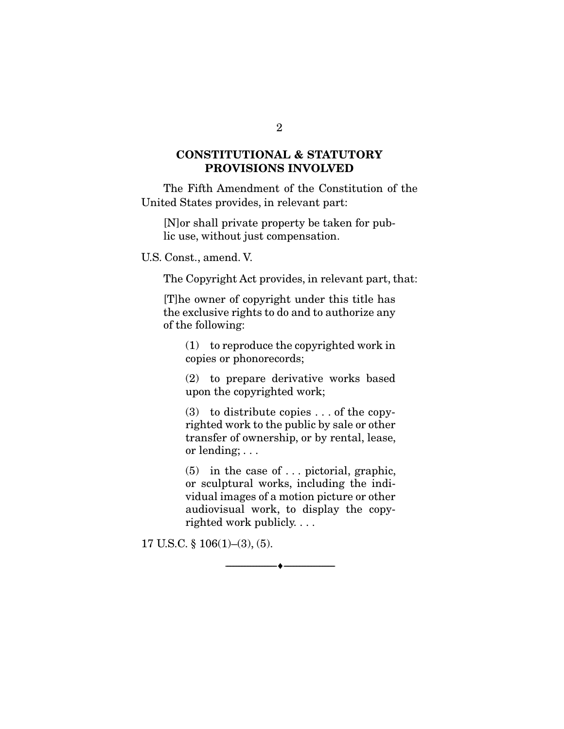### **CONSTITUTIONAL & STATUTORY PROVISIONS INVOLVED**

 The Fifth Amendment of the Constitution of the United States provides, in relevant part:

[N]or shall private property be taken for public use, without just compensation.

U.S. Const., amend. V.

The Copyright Act provides, in relevant part, that:

[T]he owner of copyright under this title has the exclusive rights to do and to authorize any of the following:

(1) to reproduce the copyrighted work in copies or phonorecords;

(2) to prepare derivative works based upon the copyrighted work;

(3) to distribute copies . . . of the copyrighted work to the public by sale or other transfer of ownership, or by rental, lease, or lending; . . .

(5) in the case of . . . pictorial, graphic, or sculptural works, including the individual images of a motion picture or other audiovisual work, to display the copyrighted work publicly. . . .

--------------------------------- ♦ ---------------------------------

17 U.S.C. § 106(1)–(3), (5).

2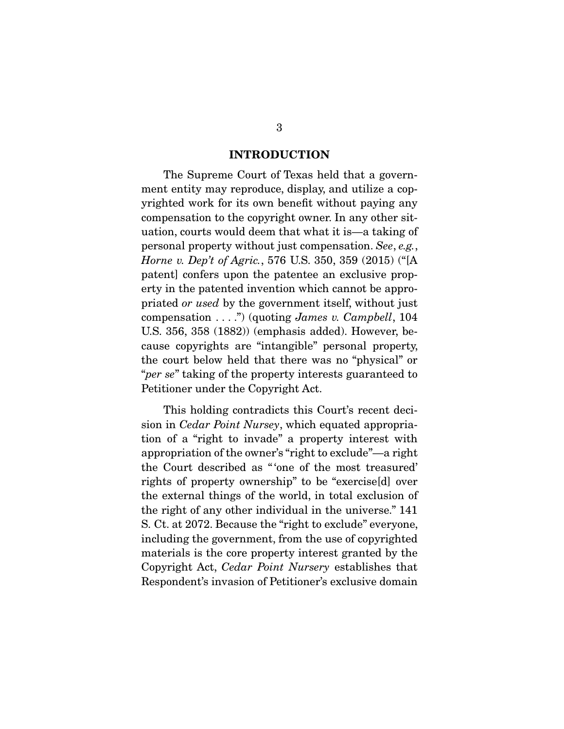#### **INTRODUCTION**

 The Supreme Court of Texas held that a government entity may reproduce, display, and utilize a copyrighted work for its own benefit without paying any compensation to the copyright owner. In any other situation, courts would deem that what it is—a taking of personal property without just compensation. See, e.g., Horne v. Dep't of Agric., 576 U.S. 350, 359 (2015) ("[A patent] confers upon the patentee an exclusive property in the patented invention which cannot be appropriated or used by the government itself, without just compensation  $\dots$ ") (quoting *James v. Campbell*, 104 U.S. 356, 358 (1882)) (emphasis added). However, because copyrights are "intangible" personal property, the court below held that there was no "physical" or "per se" taking of the property interests guaranteed to Petitioner under the Copyright Act.

 This holding contradicts this Court's recent decision in Cedar Point Nursey, which equated appropriation of a "right to invade" a property interest with appropriation of the owner's "right to exclude"—a right the Court described as " 'one of the most treasured' rights of property ownership" to be "exercise[d] over the external things of the world, in total exclusion of the right of any other individual in the universe." 141 S. Ct. at 2072. Because the "right to exclude" everyone, including the government, from the use of copyrighted materials is the core property interest granted by the Copyright Act, Cedar Point Nursery establishes that Respondent's invasion of Petitioner's exclusive domain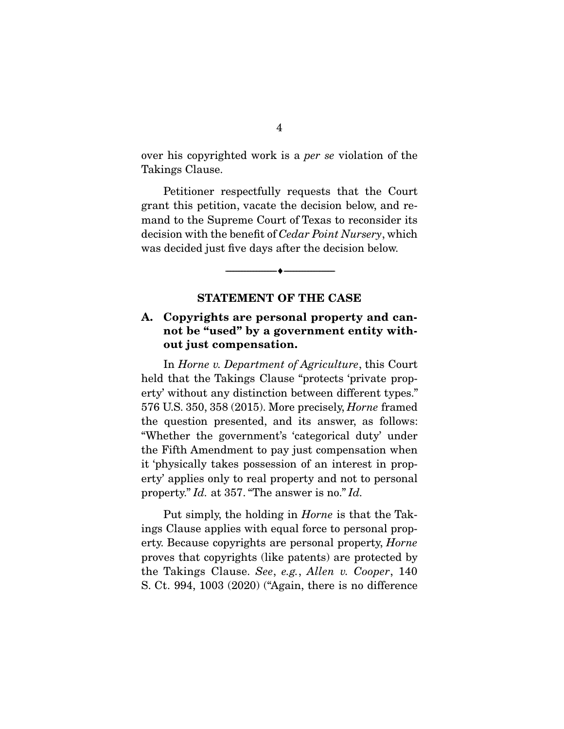over his copyrighted work is a per se violation of the Takings Clause.

 Petitioner respectfully requests that the Court grant this petition, vacate the decision below, and remand to the Supreme Court of Texas to reconsider its decision with the benefit of Cedar Point Nursery, which was decided just five days after the decision below.

#### **STATEMENT OF THE CASE**

--------------------------------- ♦ ---------------------------------

### **A. Copyrights are personal property and cannot be "used" by a government entity without just compensation.**

 In Horne v. Department of Agriculture, this Court held that the Takings Clause "protects 'private property' without any distinction between different types." 576 U.S. 350, 358 (2015). More precisely, Horne framed the question presented, and its answer, as follows: "Whether the government's 'categorical duty' under the Fifth Amendment to pay just compensation when it 'physically takes possession of an interest in property' applies only to real property and not to personal property." Id. at 357. "The answer is no." Id.

 Put simply, the holding in Horne is that the Takings Clause applies with equal force to personal property. Because copyrights are personal property, Horne proves that copyrights (like patents) are protected by the Takings Clause. See, e.g., Allen v. Cooper, 140 S. Ct. 994, 1003 (2020) ("Again, there is no difference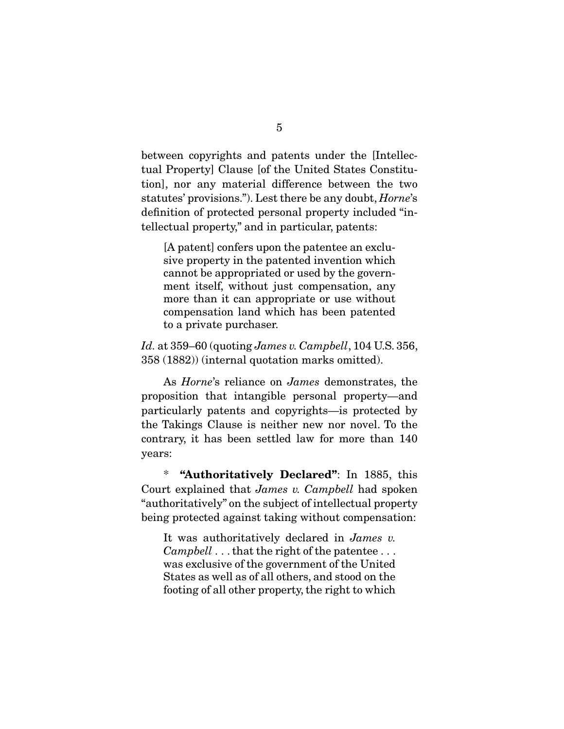between copyrights and patents under the [Intellectual Property] Clause [of the United States Constitution], nor any material difference between the two statutes' provisions."). Lest there be any doubt, Horne's definition of protected personal property included "intellectual property," and in particular, patents:

[A patent] confers upon the patentee an exclusive property in the patented invention which cannot be appropriated or used by the government itself, without just compensation, any more than it can appropriate or use without compensation land which has been patented to a private purchaser.

Id. at  $359-60$  (quoting James v. Campbell, 104 U.S. 356, 358 (1882)) (internal quotation marks omitted).

 As Horne's reliance on James demonstrates, the proposition that intangible personal property—and particularly patents and copyrights—is protected by the Takings Clause is neither new nor novel. To the contrary, it has been settled law for more than 140 years:

 \* **"Authoritatively Declared"**: In 1885, this Court explained that James v. Campbell had spoken "authoritatively" on the subject of intellectual property being protected against taking without compensation:

It was authoritatively declared in James v. Campbell . . . that the right of the patentee . . . was exclusive of the government of the United States as well as of all others, and stood on the footing of all other property, the right to which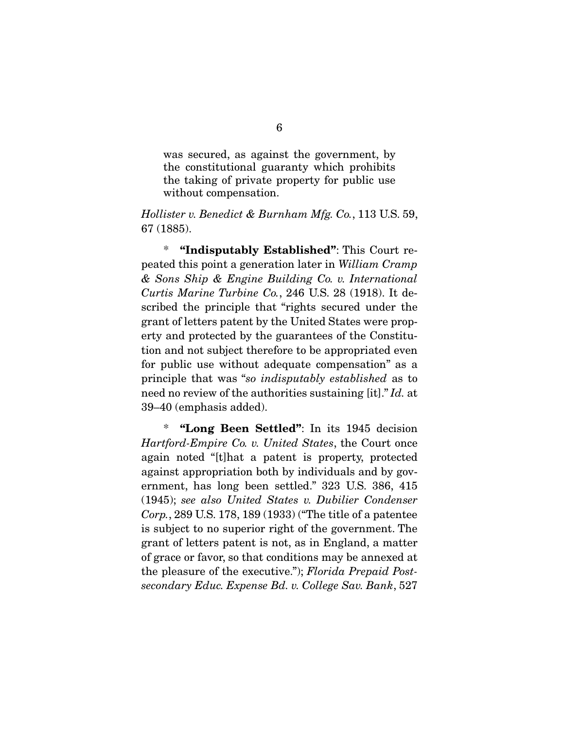was secured, as against the government, by the constitutional guaranty which prohibits the taking of private property for public use without compensation.

Hollister v. Benedict & Burnham Mfg. Co., 113 U.S. 59, 67 (1885).

 \* **"Indisputably Established"**: This Court repeated this point a generation later in William Cramp & Sons Ship & Engine Building Co. v. International Curtis Marine Turbine Co., 246 U.S. 28 (1918). It described the principle that "rights secured under the grant of letters patent by the United States were property and protected by the guarantees of the Constitution and not subject therefore to be appropriated even for public use without adequate compensation" as a principle that was "so indisputably established as to need no review of the authorities sustaining [it]." Id. at 39–40 (emphasis added).

 \* **"Long Been Settled"**: In its 1945 decision Hartford-Empire Co. v. United States, the Court once again noted "[t]hat a patent is property, protected against appropriation both by individuals and by government, has long been settled." 323 U.S. 386, 415 (1945); see also United States v. Dubilier Condenser Corp., 289 U.S. 178, 189 (1933) ("The title of a patentee is subject to no superior right of the government. The grant of letters patent is not, as in England, a matter of grace or favor, so that conditions may be annexed at the pleasure of the executive."); Florida Prepaid Postsecondary Educ. Expense Bd. v. College Sav. Bank, 527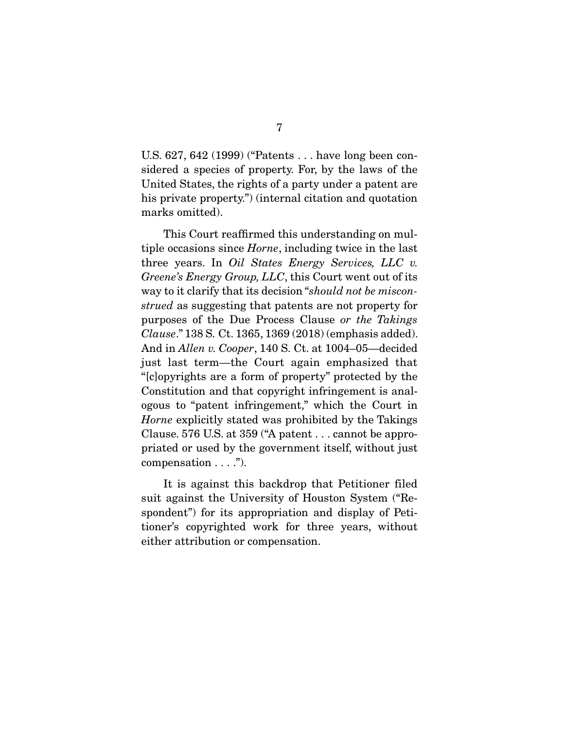U.S. 627, 642 (1999) ("Patents . . . have long been considered a species of property. For, by the laws of the United States, the rights of a party under a patent are his private property.") (internal citation and quotation marks omitted).

 This Court reaffirmed this understanding on multiple occasions since Horne, including twice in the last three years. In Oil States Energy Services, LLC v. Greene's Energy Group, LLC, this Court went out of its way to it clarify that its decision "should not be misconstrued as suggesting that patents are not property for purposes of the Due Process Clause or the Takings Clause." 138 S. Ct. 1365, 1369 (2018) (emphasis added). And in Allen v. Cooper, 140 S. Ct. at 1004–05—decided just last term—the Court again emphasized that "[c]opyrights are a form of property" protected by the Constitution and that copyright infringement is analogous to "patent infringement," which the Court in Horne explicitly stated was prohibited by the Takings Clause. 576 U.S. at 359 ("A patent . . . cannot be appropriated or used by the government itself, without just compensation  $\dots$ .").

 It is against this backdrop that Petitioner filed suit against the University of Houston System ("Respondent") for its appropriation and display of Petitioner's copyrighted work for three years, without either attribution or compensation.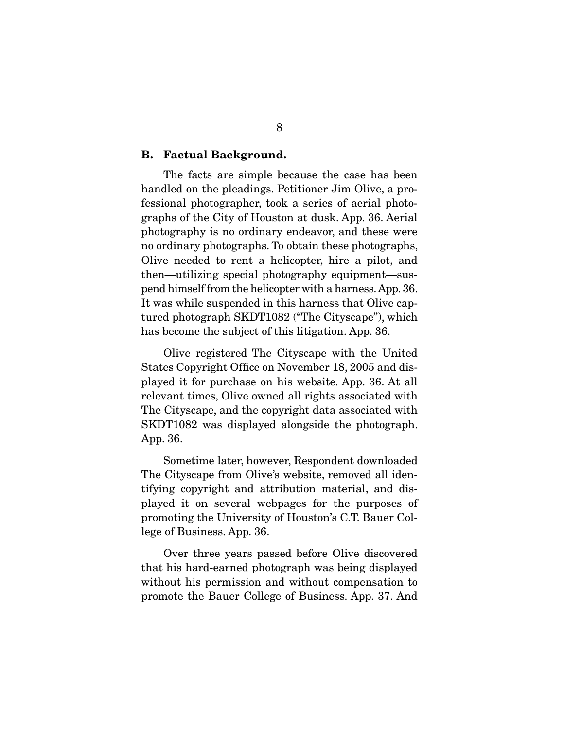#### **B. Factual Background.**

 The facts are simple because the case has been handled on the pleadings. Petitioner Jim Olive, a professional photographer, took a series of aerial photographs of the City of Houston at dusk. App. 36. Aerial photography is no ordinary endeavor, and these were no ordinary photographs. To obtain these photographs, Olive needed to rent a helicopter, hire a pilot, and then—utilizing special photography equipment—suspend himself from the helicopter with a harness. App. 36. It was while suspended in this harness that Olive captured photograph SKDT1082 ("The Cityscape"), which has become the subject of this litigation. App. 36.

 Olive registered The Cityscape with the United States Copyright Office on November 18, 2005 and displayed it for purchase on his website. App. 36. At all relevant times, Olive owned all rights associated with The Cityscape, and the copyright data associated with SKDT1082 was displayed alongside the photograph. App. 36.

 Sometime later, however, Respondent downloaded The Cityscape from Olive's website, removed all identifying copyright and attribution material, and displayed it on several webpages for the purposes of promoting the University of Houston's C.T. Bauer College of Business. App. 36.

 Over three years passed before Olive discovered that his hard-earned photograph was being displayed without his permission and without compensation to promote the Bauer College of Business. App. 37. And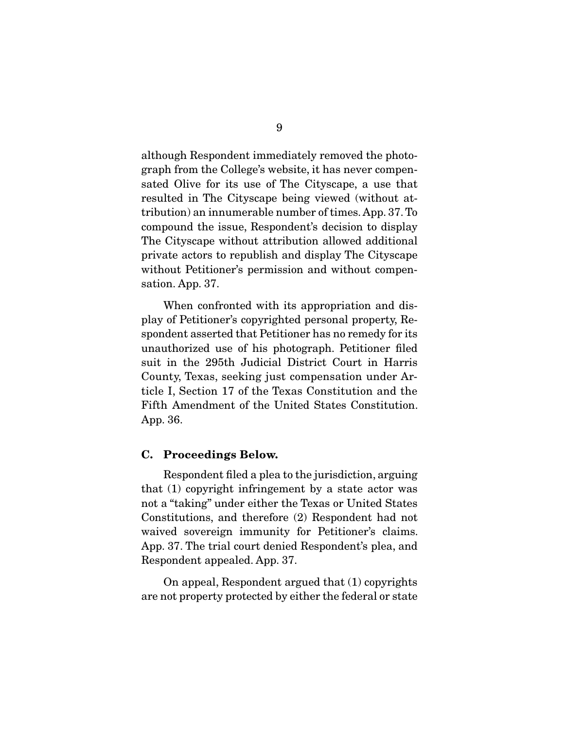although Respondent immediately removed the photograph from the College's website, it has never compensated Olive for its use of The Cityscape, a use that resulted in The Cityscape being viewed (without attribution) an innumerable number of times. App. 37. To compound the issue, Respondent's decision to display The Cityscape without attribution allowed additional private actors to republish and display The Cityscape without Petitioner's permission and without compensation. App. 37.

 When confronted with its appropriation and display of Petitioner's copyrighted personal property, Respondent asserted that Petitioner has no remedy for its unauthorized use of his photograph. Petitioner filed suit in the 295th Judicial District Court in Harris County, Texas, seeking just compensation under Article I, Section 17 of the Texas Constitution and the Fifth Amendment of the United States Constitution. App. 36.

#### **C. Proceedings Below.**

 Respondent filed a plea to the jurisdiction, arguing that (1) copyright infringement by a state actor was not a "taking" under either the Texas or United States Constitutions, and therefore (2) Respondent had not waived sovereign immunity for Petitioner's claims. App. 37. The trial court denied Respondent's plea, and Respondent appealed. App. 37.

 On appeal, Respondent argued that (1) copyrights are not property protected by either the federal or state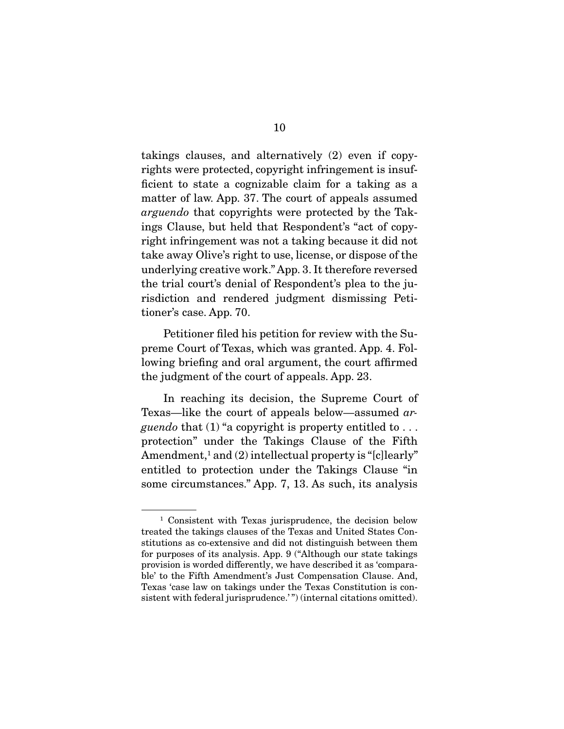takings clauses, and alternatively (2) even if copyrights were protected, copyright infringement is insufficient to state a cognizable claim for a taking as a matter of law. App. 37. The court of appeals assumed arguendo that copyrights were protected by the Takings Clause, but held that Respondent's "act of copyright infringement was not a taking because it did not take away Olive's right to use, license, or dispose of the underlying creative work." App. 3. It therefore reversed the trial court's denial of Respondent's plea to the jurisdiction and rendered judgment dismissing Petitioner's case. App. 70.

 Petitioner filed his petition for review with the Supreme Court of Texas, which was granted. App. 4. Following briefing and oral argument, the court affirmed the judgment of the court of appeals. App. 23.

 In reaching its decision, the Supreme Court of Texas—like the court of appeals below—assumed ar*guendo* that (1) "a copyright is property entitled to  $\dots$ protection" under the Takings Clause of the Fifth Amendment,<sup>1</sup> and (2) intellectual property is "[c]learly" entitled to protection under the Takings Clause "in some circumstances." App. 7, 13. As such, its analysis

<sup>1</sup> Consistent with Texas jurisprudence, the decision below treated the takings clauses of the Texas and United States Constitutions as co-extensive and did not distinguish between them for purposes of its analysis. App. 9 ("Although our state takings provision is worded differently, we have described it as 'comparable' to the Fifth Amendment's Just Compensation Clause. And, Texas 'case law on takings under the Texas Constitution is consistent with federal jurisprudence.'") (internal citations omitted).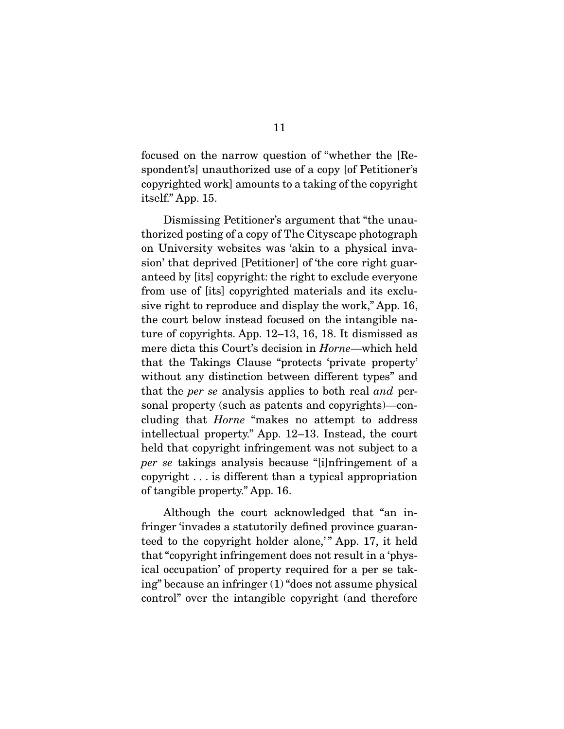focused on the narrow question of "whether the [Respondent's] unauthorized use of a copy [of Petitioner's copyrighted work] amounts to a taking of the copyright itself." App. 15.

 Dismissing Petitioner's argument that "the unauthorized posting of a copy of The Cityscape photograph on University websites was 'akin to a physical invasion' that deprived [Petitioner] of 'the core right guaranteed by [its] copyright: the right to exclude everyone from use of [its] copyrighted materials and its exclusive right to reproduce and display the work," App. 16, the court below instead focused on the intangible nature of copyrights. App. 12–13, 16, 18. It dismissed as mere dicta this Court's decision in Horne—which held that the Takings Clause "protects 'private property' without any distinction between different types" and that the per se analysis applies to both real and personal property (such as patents and copyrights)—concluding that Horne "makes no attempt to address intellectual property." App. 12–13. Instead, the court held that copyright infringement was not subject to a per se takings analysis because "[i]nfringement of a copyright . . . is different than a typical appropriation of tangible property." App. 16.

 Although the court acknowledged that "an infringer 'invades a statutorily defined province guaranteed to the copyright holder alone," App. 17, it held that "copyright infringement does not result in a 'physical occupation' of property required for a per se taking" because an infringer (1) "does not assume physical control" over the intangible copyright (and therefore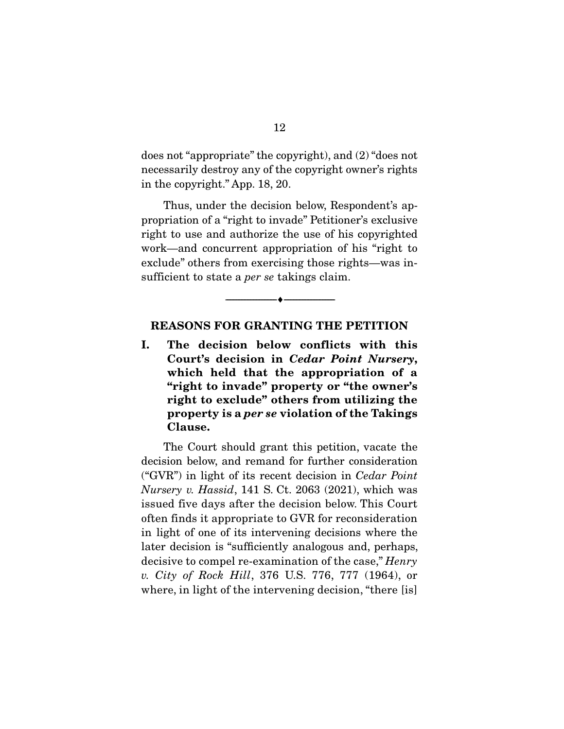does not "appropriate" the copyright), and (2) "does not necessarily destroy any of the copyright owner's rights in the copyright." App. 18, 20.

 Thus, under the decision below, Respondent's appropriation of a "right to invade" Petitioner's exclusive right to use and authorize the use of his copyrighted work—and concurrent appropriation of his "right to exclude" others from exercising those rights—was insufficient to state a *per se* takings claim.

#### **REASONS FOR GRANTING THE PETITION**

--------------------------------- ♦ ---------------------------------

**I. The decision below conflicts with this Court's decision in** *Cedar Point Nursery***, which held that the appropriation of a "right to invade" property or "the owner's right to exclude" others from utilizing the property is a** *per se* **violation of the Takings Clause.** 

 The Court should grant this petition, vacate the decision below, and remand for further consideration ("GVR") in light of its recent decision in Cedar Point Nursery v. Hassid, 141 S. Ct. 2063 (2021), which was issued five days after the decision below. This Court often finds it appropriate to GVR for reconsideration in light of one of its intervening decisions where the later decision is "sufficiently analogous and, perhaps, decisive to compel re-examination of the case," Henry v. City of Rock Hill, 376 U.S. 776, 777 (1964), or where, in light of the intervening decision, "there [is]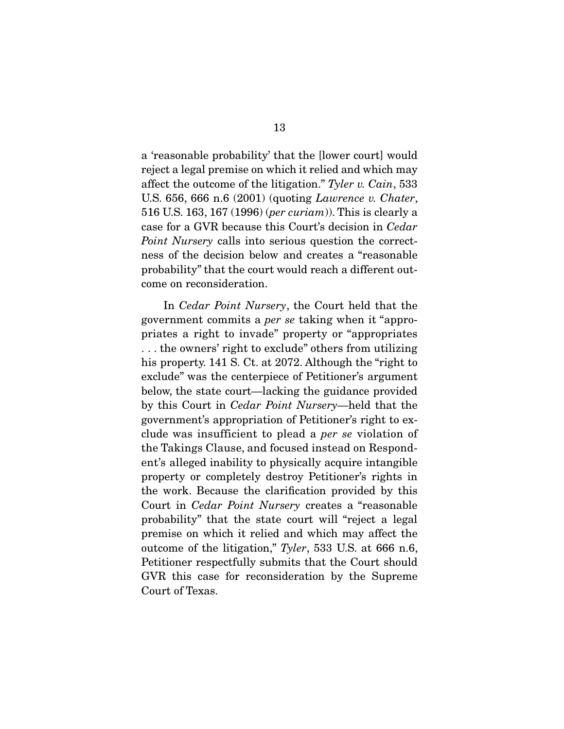a 'reasonable probability' that the [lower court] would reject a legal premise on which it relied and which may affect the outcome of the litigation." Tyler v. Cain, 533 U.S. 656, 666 n.6 (2001) (quoting Lawrence v. Chater, 516 U.S. 163, 167 (1996) (per curiam)). This is clearly a case for a GVR because this Court's decision in Cedar Point Nursery calls into serious question the correctness of the decision below and creates a "reasonable probability" that the court would reach a different outcome on reconsideration.

 In Cedar Point Nursery, the Court held that the government commits a per se taking when it "appropriates a right to invade" property or "appropriates . . . the owners' right to exclude" others from utilizing his property. 141 S. Ct. at 2072. Although the "right to" exclude" was the centerpiece of Petitioner's argument below, the state court—lacking the guidance provided by this Court in Cedar Point Nursery—held that the government's appropriation of Petitioner's right to exclude was insufficient to plead a per se violation of the Takings Clause, and focused instead on Respondent's alleged inability to physically acquire intangible property or completely destroy Petitioner's rights in the work. Because the clarification provided by this Court in Cedar Point Nursery creates a "reasonable probability" that the state court will "reject a legal premise on which it relied and which may affect the outcome of the litigation," Tyler, 533 U.S. at 666 n.6, Petitioner respectfully submits that the Court should GVR this case for reconsideration by the Supreme Court of Texas.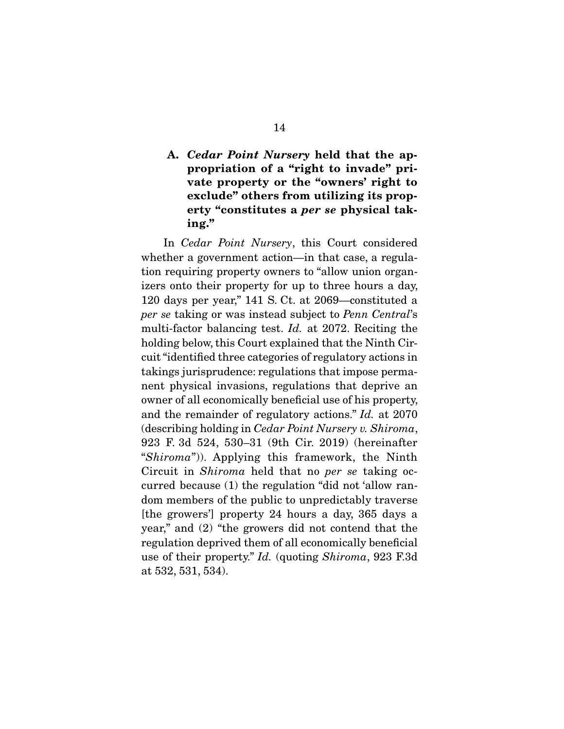### **A.** *Cedar Point Nursery* **held that the appropriation of a "right to invade" private property or the "owners' right to exclude" others from utilizing its property "constitutes a** *per se* **physical taking."**

 In Cedar Point Nursery, this Court considered whether a government action—in that case, a regulation requiring property owners to "allow union organizers onto their property for up to three hours a day, 120 days per year," 141 S. Ct. at 2069—constituted a per se taking or was instead subject to Penn Central's multi-factor balancing test. Id. at 2072. Reciting the holding below, this Court explained that the Ninth Circuit "identified three categories of regulatory actions in takings jurisprudence: regulations that impose permanent physical invasions, regulations that deprive an owner of all economically beneficial use of his property, and the remainder of regulatory actions." Id. at 2070 (describing holding in Cedar Point Nursery v. Shiroma, 923 F. 3d 524, 530–31 (9th Cir. 2019) (hereinafter "Shiroma")). Applying this framework, the Ninth Circuit in Shiroma held that no per se taking occurred because (1) the regulation "did not 'allow random members of the public to unpredictably traverse [the growers'] property 24 hours a day, 365 days a year," and (2) "the growers did not contend that the regulation deprived them of all economically beneficial use of their property." Id. (quoting Shiroma, 923 F.3d at 532, 531, 534).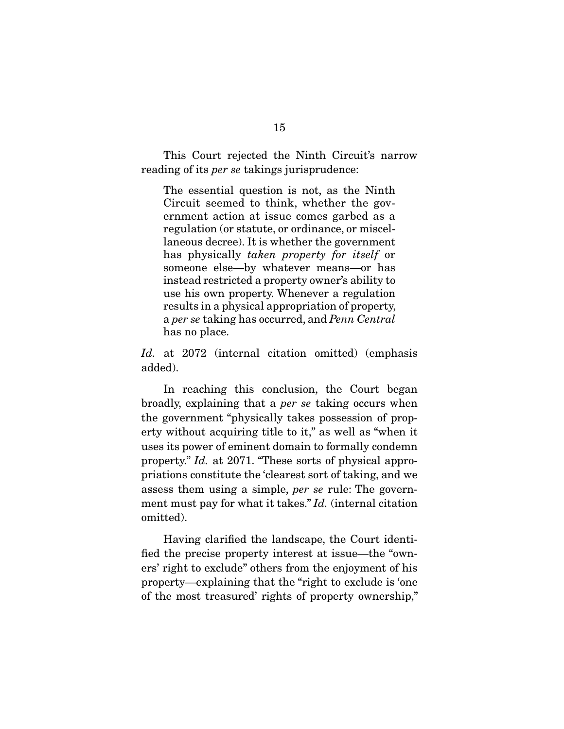This Court rejected the Ninth Circuit's narrow reading of its *per se* takings jurisprudence:

The essential question is not, as the Ninth Circuit seemed to think, whether the government action at issue comes garbed as a regulation (or statute, or ordinance, or miscellaneous decree). It is whether the government has physically taken property for itself or someone else—by whatever means—or has instead restricted a property owner's ability to use his own property. Whenever a regulation results in a physical appropriation of property, a per se taking has occurred, and Penn Central has no place.

Id. at 2072 (internal citation omitted) (emphasis added).

 In reaching this conclusion, the Court began broadly, explaining that a per se taking occurs when the government "physically takes possession of property without acquiring title to it," as well as "when it uses its power of eminent domain to formally condemn property." Id. at 2071. "These sorts of physical appropriations constitute the 'clearest sort of taking, and we assess them using a simple, per se rule: The government must pay for what it takes." Id. (internal citation omitted).

 Having clarified the landscape, the Court identified the precise property interest at issue—the "owners' right to exclude" others from the enjoyment of his property—explaining that the "right to exclude is 'one of the most treasured' rights of property ownership,"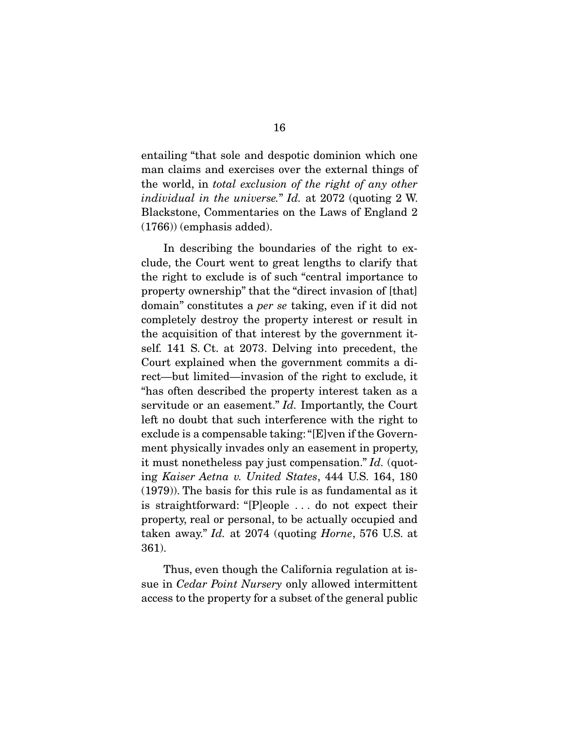entailing "that sole and despotic dominion which one man claims and exercises over the external things of the world, in total exclusion of the right of any other individual in the universe." Id. at 2072 (quoting 2 W. Blackstone, Commentaries on the Laws of England 2 (1766)) (emphasis added).

 In describing the boundaries of the right to exclude, the Court went to great lengths to clarify that the right to exclude is of such "central importance to property ownership" that the "direct invasion of [that] domain" constitutes a per se taking, even if it did not completely destroy the property interest or result in the acquisition of that interest by the government itself. 141 S. Ct. at 2073. Delving into precedent, the Court explained when the government commits a direct—but limited—invasion of the right to exclude, it "has often described the property interest taken as a servitude or an easement." *Id.* Importantly, the Court left no doubt that such interference with the right to exclude is a compensable taking: "[E]ven if the Government physically invades only an easement in property, it must nonetheless pay just compensation." Id. (quoting Kaiser Aetna v. United States, 444 U.S. 164, 180 (1979)). The basis for this rule is as fundamental as it is straightforward: "[P]eople . . . do not expect their property, real or personal, to be actually occupied and taken away." Id. at 2074 (quoting Horne, 576 U.S. at 361).

 Thus, even though the California regulation at issue in *Cedar Point Nursery* only allowed intermittent access to the property for a subset of the general public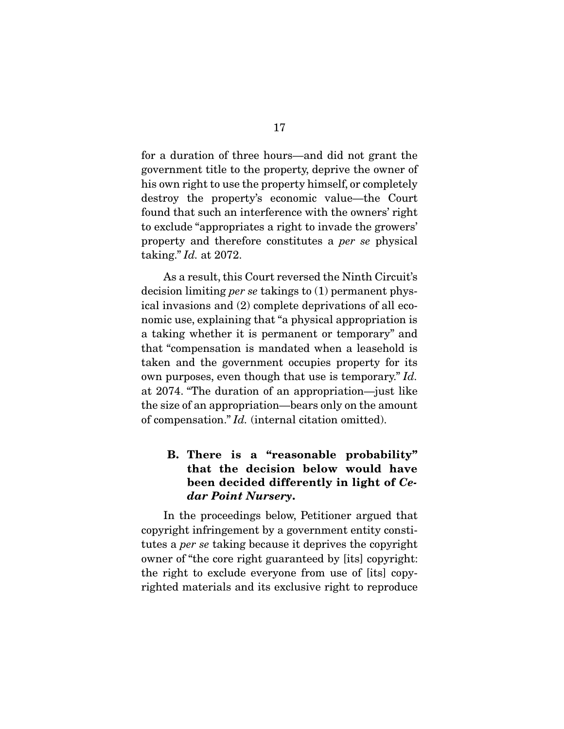for a duration of three hours—and did not grant the government title to the property, deprive the owner of his own right to use the property himself, or completely destroy the property's economic value—the Court found that such an interference with the owners' right to exclude "appropriates a right to invade the growers' property and therefore constitutes a per se physical taking." Id. at 2072.

 As a result, this Court reversed the Ninth Circuit's decision limiting per se takings to (1) permanent physical invasions and (2) complete deprivations of all economic use, explaining that "a physical appropriation is a taking whether it is permanent or temporary" and that "compensation is mandated when a leasehold is taken and the government occupies property for its own purposes, even though that use is temporary." Id. at 2074. "The duration of an appropriation—just like the size of an appropriation—bears only on the amount of compensation." Id. (internal citation omitted).

## **B. There is a "reasonable probability" that the decision below would have been decided differently in light of** *Cedar Point Nursery***.**

 In the proceedings below, Petitioner argued that copyright infringement by a government entity constitutes a per se taking because it deprives the copyright owner of "the core right guaranteed by [its] copyright: the right to exclude everyone from use of [its] copyrighted materials and its exclusive right to reproduce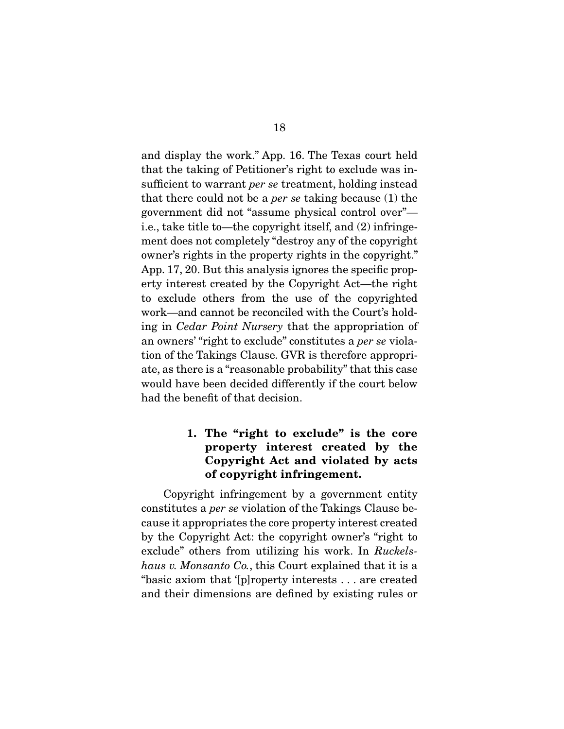and display the work." App. 16. The Texas court held that the taking of Petitioner's right to exclude was insufficient to warrant per se treatment, holding instead that there could not be a *per se* taking because  $(1)$  the government did not "assume physical control over" i.e., take title to—the copyright itself, and (2) infringement does not completely "destroy any of the copyright owner's rights in the property rights in the copyright." App. 17, 20. But this analysis ignores the specific property interest created by the Copyright Act—the right to exclude others from the use of the copyrighted work—and cannot be reconciled with the Court's holding in Cedar Point Nursery that the appropriation of an owners' "right to exclude" constitutes a per se violation of the Takings Clause. GVR is therefore appropriate, as there is a "reasonable probability" that this case would have been decided differently if the court below had the benefit of that decision.

## **1. The "right to exclude" is the core property interest created by the Copyright Act and violated by acts of copyright infringement.**

 Copyright infringement by a government entity constitutes a per se violation of the Takings Clause because it appropriates the core property interest created by the Copyright Act: the copyright owner's "right to exclude" others from utilizing his work. In Ruckelshaus v. Monsanto Co., this Court explained that it is a "basic axiom that '[p]roperty interests . . . are created and their dimensions are defined by existing rules or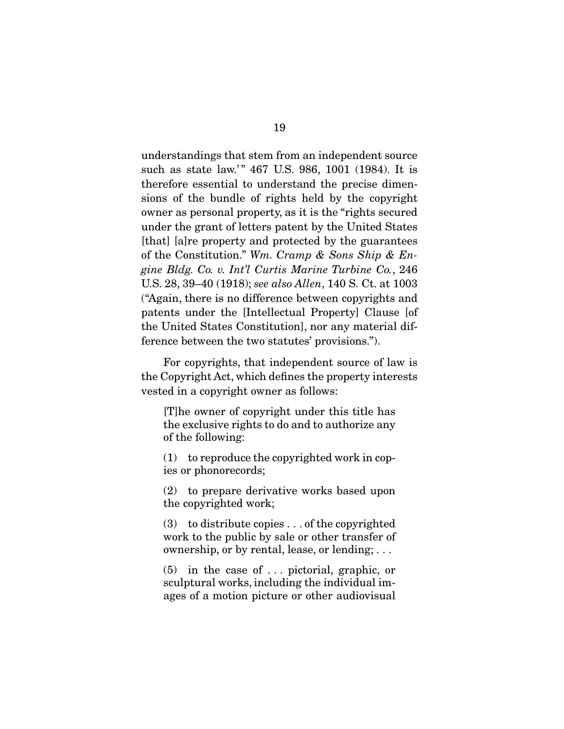understandings that stem from an independent source such as state law.'" 467 U.S. 986, 1001 (1984). It is therefore essential to understand the precise dimensions of the bundle of rights held by the copyright owner as personal property, as it is the "rights secured under the grant of letters patent by the United States [that] [a]re property and protected by the guarantees of the Constitution." Wm. Cramp  $\&$  Sons Ship  $\&$  Engine Bldg. Co. v. Int'l Curtis Marine Turbine Co., 246 U.S. 28, 39–40 (1918); see also Allen, 140 S. Ct. at 1003 ("Again, there is no difference between copyrights and patents under the [Intellectual Property] Clause [of the United States Constitution], nor any material difference between the two statutes' provisions.").

 For copyrights, that independent source of law is the Copyright Act, which defines the property interests vested in a copyright owner as follows:

[T]he owner of copyright under this title has the exclusive rights to do and to authorize any of the following:

(1) to reproduce the copyrighted work in copies or phonorecords;

(2) to prepare derivative works based upon the copyrighted work;

(3) to distribute copies . . . of the copyrighted work to the public by sale or other transfer of ownership, or by rental, lease, or lending; . . .

(5) in the case of . . . pictorial, graphic, or sculptural works, including the individual images of a motion picture or other audiovisual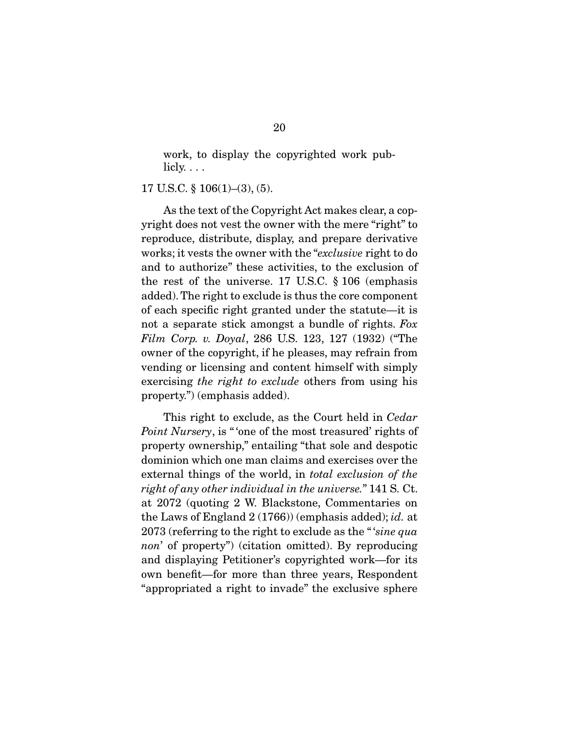work, to display the copyrighted work publicly.  $\ldots$ 

#### 17 U.S.C. § 106(1)–(3), (5).

 As the text of the Copyright Act makes clear, a copyright does not vest the owner with the mere "right" to reproduce, distribute, display, and prepare derivative works; it vests the owner with the "exclusive right to do and to authorize" these activities, to the exclusion of the rest of the universe. 17 U.S.C. § 106 (emphasis added). The right to exclude is thus the core component of each specific right granted under the statute—it is not a separate stick amongst a bundle of rights. Fox Film Corp. v. Doyal, 286 U.S. 123, 127 (1932) ("The owner of the copyright, if he pleases, may refrain from vending or licensing and content himself with simply exercising the right to exclude others from using his property.") (emphasis added).

 This right to exclude, as the Court held in Cedar Point Nursery, is " one of the most treasured' rights of property ownership," entailing "that sole and despotic dominion which one man claims and exercises over the external things of the world, in total exclusion of the right of any other individual in the universe." 141 S. Ct. at 2072 (quoting 2 W. Blackstone, Commentaries on the Laws of England 2 (1766)) (emphasis added); id. at 2073 (referring to the right to exclude as the " 'sine qua non' of property") (citation omitted). By reproducing and displaying Petitioner's copyrighted work—for its own benefit—for more than three years, Respondent "appropriated a right to invade" the exclusive sphere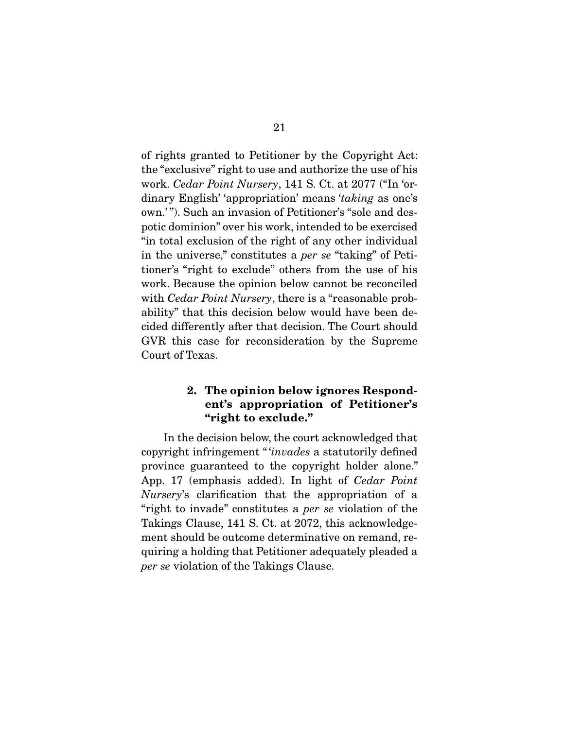of rights granted to Petitioner by the Copyright Act: the "exclusive" right to use and authorize the use of his work. Cedar Point Nursery, 141 S. Ct. at 2077 ("In 'ordinary English' 'appropriation' means 'taking as one's own.' "). Such an invasion of Petitioner's "sole and despotic dominion" over his work, intended to be exercised "in total exclusion of the right of any other individual in the universe," constitutes a per se "taking" of Petitioner's "right to exclude" others from the use of his work. Because the opinion below cannot be reconciled with *Cedar Point Nursery*, there is a "reasonable probability" that this decision below would have been decided differently after that decision. The Court should GVR this case for reconsideration by the Supreme Court of Texas.

### **2. The opinion below ignores Respondent's appropriation of Petitioner's "right to exclude."**

 In the decision below, the court acknowledged that copyright infringement " 'invades a statutorily defined province guaranteed to the copyright holder alone." App. 17 (emphasis added). In light of Cedar Point Nursery's clarification that the appropriation of a "right to invade" constitutes a per se violation of the Takings Clause, 141 S. Ct. at 2072, this acknowledgement should be outcome determinative on remand, requiring a holding that Petitioner adequately pleaded a per se violation of the Takings Clause.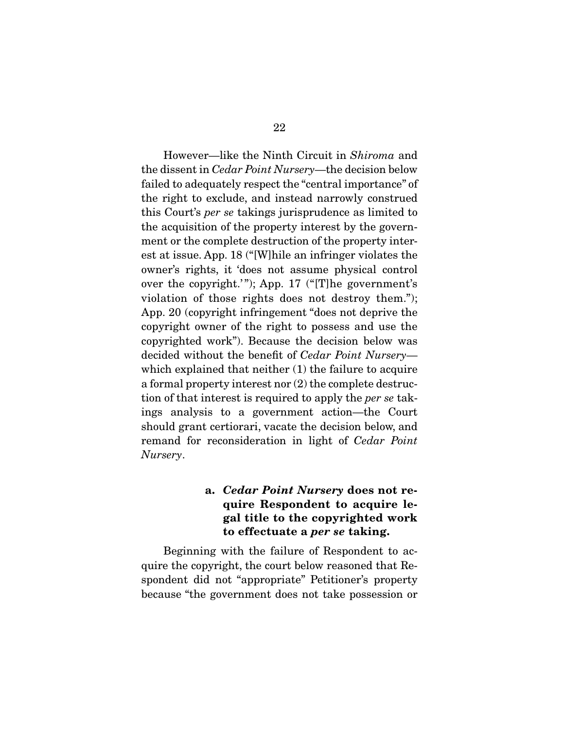However—like the Ninth Circuit in Shiroma and the dissent in Cedar Point Nursery—the decision below failed to adequately respect the "central importance" of the right to exclude, and instead narrowly construed this Court's per se takings jurisprudence as limited to the acquisition of the property interest by the government or the complete destruction of the property interest at issue. App. 18 ("[W]hile an infringer violates the owner's rights, it 'does not assume physical control over the copyright.'"); App.  $17$  ("[T]he government's violation of those rights does not destroy them."); App. 20 (copyright infringement "does not deprive the copyright owner of the right to possess and use the copyrighted work"). Because the decision below was decided without the benefit of Cedar Point Nursery which explained that neither (1) the failure to acquire a formal property interest nor (2) the complete destruction of that interest is required to apply the per se takings analysis to a government action—the Court should grant certiorari, vacate the decision below, and remand for reconsideration in light of Cedar Point Nursery.

### **a.** *Cedar Point Nursery* **does not require Respondent to acquire legal title to the copyrighted work to effectuate a** *per se* **taking.**

 Beginning with the failure of Respondent to acquire the copyright, the court below reasoned that Respondent did not "appropriate" Petitioner's property because "the government does not take possession or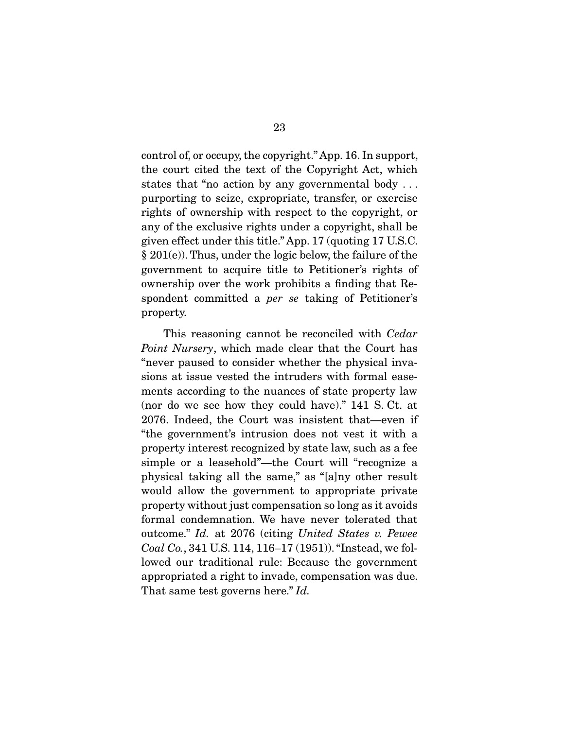control of, or occupy, the copyright." App. 16. In support, the court cited the text of the Copyright Act, which states that "no action by any governmental body . . . purporting to seize, expropriate, transfer, or exercise rights of ownership with respect to the copyright, or any of the exclusive rights under a copyright, shall be given effect under this title." App. 17 (quoting 17 U.S.C. § 201(e)). Thus, under the logic below, the failure of the government to acquire title to Petitioner's rights of ownership over the work prohibits a finding that Respondent committed a per se taking of Petitioner's property.

 This reasoning cannot be reconciled with Cedar Point Nursery, which made clear that the Court has "never paused to consider whether the physical invasions at issue vested the intruders with formal easements according to the nuances of state property law (nor do we see how they could have)." 141 S. Ct. at 2076. Indeed, the Court was insistent that—even if "the government's intrusion does not vest it with a property interest recognized by state law, such as a fee simple or a leasehold"—the Court will "recognize a physical taking all the same," as "[a]ny other result would allow the government to appropriate private property without just compensation so long as it avoids formal condemnation. We have never tolerated that outcome." Id. at 2076 (citing United States v. Pewee Coal Co., 341 U.S. 114, 116–17 (1951)). "Instead, we followed our traditional rule: Because the government appropriated a right to invade, compensation was due. That same test governs here." Id.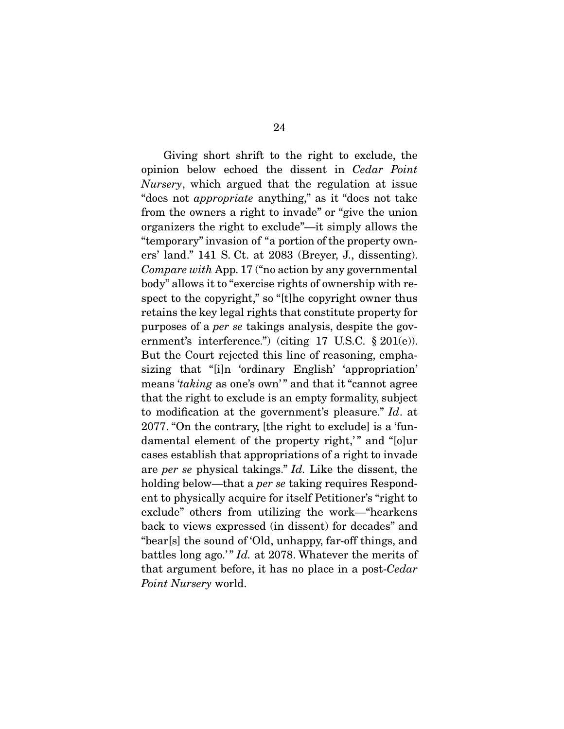Giving short shrift to the right to exclude, the opinion below echoed the dissent in Cedar Point Nursery, which argued that the regulation at issue "does not appropriate anything," as it "does not take from the owners a right to invade" or "give the union organizers the right to exclude"—it simply allows the "temporary" invasion of "a portion of the property owners' land." 141 S. Ct. at 2083 (Breyer, J., dissenting). Compare with App. 17 ("no action by any governmental body" allows it to "exercise rights of ownership with respect to the copyright," so "[t]he copyright owner thus retains the key legal rights that constitute property for purposes of a per se takings analysis, despite the government's interference.") (citing 17 U.S.C. § 201(e)). But the Court rejected this line of reasoning, emphasizing that "[i]n 'ordinary English' 'appropriation' means 'taking as one's own'" and that it "cannot agree that the right to exclude is an empty formality, subject to modification at the government's pleasure." Id. at 2077. "On the contrary, [the right to exclude] is a 'fundamental element of the property right," and "[o]ur cases establish that appropriations of a right to invade are per se physical takings." Id. Like the dissent, the holding below—that a *per se* taking requires Respondent to physically acquire for itself Petitioner's "right to exclude" others from utilizing the work—"hearkens back to views expressed (in dissent) for decades" and "bear[s] the sound of 'Old, unhappy, far-off things, and battles long ago.'" Id. at 2078. Whatever the merits of that argument before, it has no place in a post-Cedar Point Nursery world.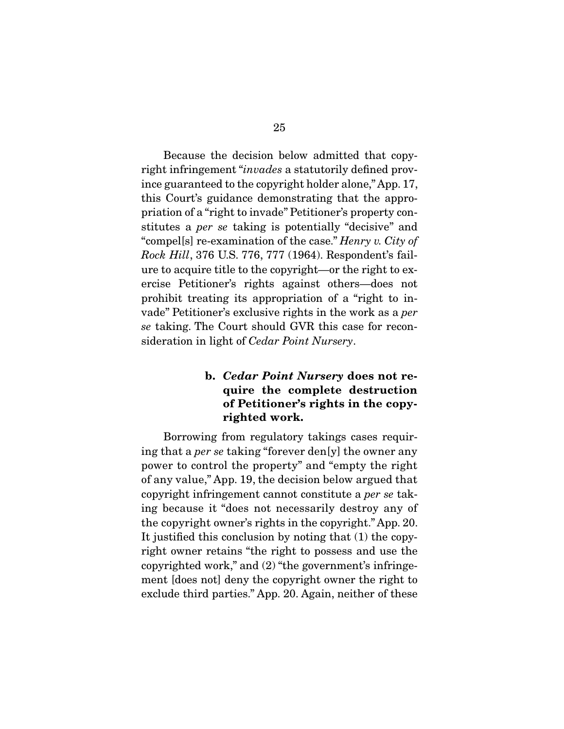Because the decision below admitted that copyright infringement "invades a statutorily defined province guaranteed to the copyright holder alone," App. 17, this Court's guidance demonstrating that the appropriation of a "right to invade" Petitioner's property constitutes a per se taking is potentially "decisive" and "compel[s] re-examination of the case." *Henry v. City of* Rock Hill, 376 U.S. 776, 777 (1964). Respondent's failure to acquire title to the copyright—or the right to exercise Petitioner's rights against others—does not prohibit treating its appropriation of a "right to invade" Petitioner's exclusive rights in the work as a per se taking. The Court should GVR this case for reconsideration in light of *Cedar Point Nursery*.

### **b.** *Cedar Point Nursery* **does not require the complete destruction of Petitioner's rights in the copyrighted work.**

 Borrowing from regulatory takings cases requiring that a per se taking "forever den[y] the owner any power to control the property" and "empty the right of any value," App. 19, the decision below argued that copyright infringement cannot constitute a per se taking because it "does not necessarily destroy any of the copyright owner's rights in the copyright." App. 20. It justified this conclusion by noting that (1) the copyright owner retains "the right to possess and use the copyrighted work," and (2) "the government's infringement [does not] deny the copyright owner the right to exclude third parties." App. 20. Again, neither of these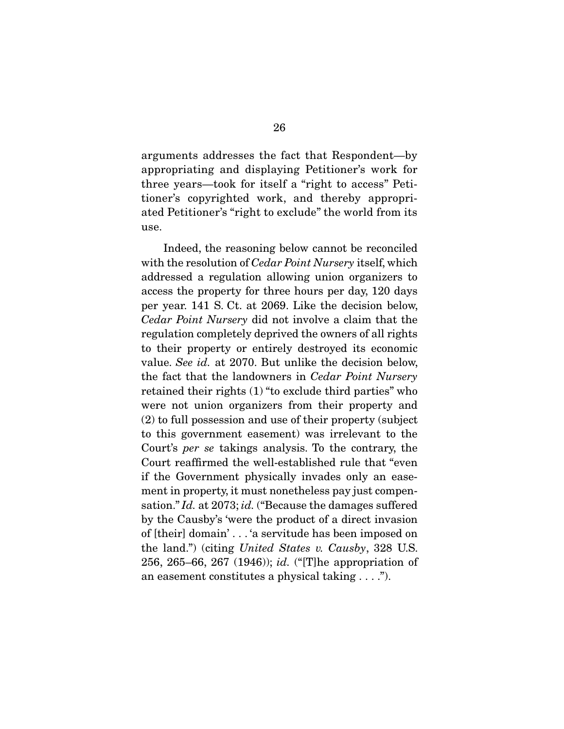arguments addresses the fact that Respondent—by appropriating and displaying Petitioner's work for three years—took for itself a "right to access" Petitioner's copyrighted work, and thereby appropriated Petitioner's "right to exclude" the world from its use.

 Indeed, the reasoning below cannot be reconciled with the resolution of *Cedar Point Nursery* itself, which addressed a regulation allowing union organizers to access the property for three hours per day, 120 days per year. 141 S. Ct. at 2069. Like the decision below, Cedar Point Nursery did not involve a claim that the regulation completely deprived the owners of all rights to their property or entirely destroyed its economic value. See id. at 2070. But unlike the decision below, the fact that the landowners in Cedar Point Nursery retained their rights (1) "to exclude third parties" who were not union organizers from their property and (2) to full possession and use of their property (subject to this government easement) was irrelevant to the Court's per se takings analysis. To the contrary, the Court reaffirmed the well-established rule that "even if the Government physically invades only an easement in property, it must nonetheless pay just compensation." Id. at 2073; id. ("Because the damages suffered by the Causby's 'were the product of a direct invasion of [their] domain' . . . 'a servitude has been imposed on the land.") (citing United States v. Causby, 328 U.S. 256, 265–66, 267 (1946)); id. ("[T]he appropriation of an easement constitutes a physical taking . . . .").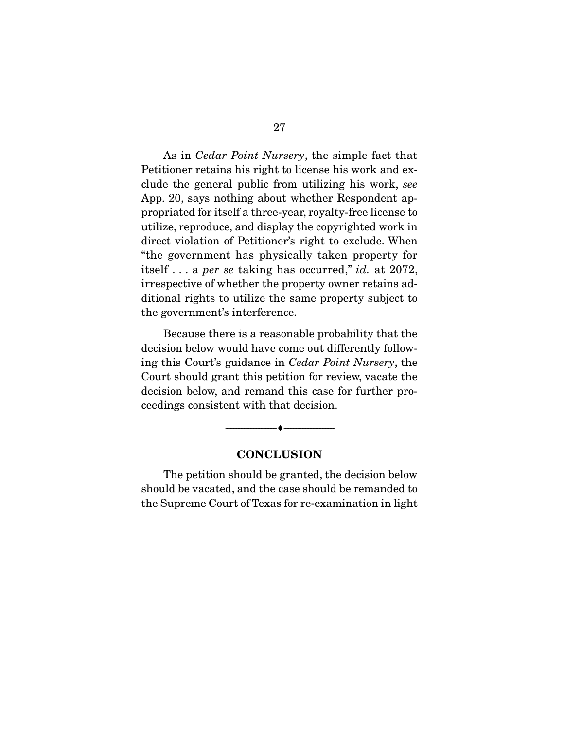As in Cedar Point Nursery, the simple fact that Petitioner retains his right to license his work and exclude the general public from utilizing his work, see App. 20, says nothing about whether Respondent appropriated for itself a three-year, royalty-free license to utilize, reproduce, and display the copyrighted work in direct violation of Petitioner's right to exclude. When "the government has physically taken property for itself... a *per se* taking has occurred," *id.* at 2072, irrespective of whether the property owner retains additional rights to utilize the same property subject to the government's interference.

 Because there is a reasonable probability that the decision below would have come out differently following this Court's guidance in Cedar Point Nursery, the Court should grant this petition for review, vacate the decision below, and remand this case for further proceedings consistent with that decision.

#### **CONCLUSION**

--------------------------------- ♦ ---------------------------------

 The petition should be granted, the decision below should be vacated, and the case should be remanded to the Supreme Court of Texas for re-examination in light